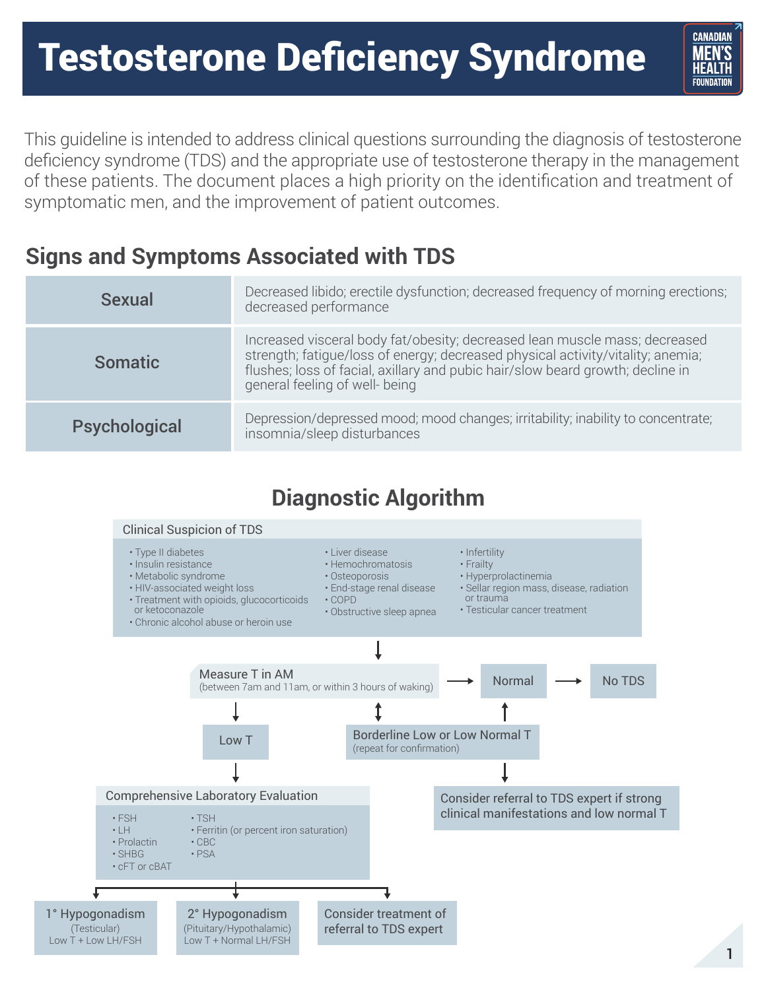

This guideline is intended to address clinical questions surrounding the diagnosis of testosterone deficiency syndrome (TDS) and the appropriate use of testosterone therapy in the management of these patients. The document places a high priority on the identification and treatment of symptomatic men, and the improvement of patient outcomes.

#### **Signs and Symptoms Associated with TDS**

| Sexual               | Decreased libido; erectile dysfunction; decreased frequency of morning erections;<br>decreased performance                                                                                                                                                                        |  |  |
|----------------------|-----------------------------------------------------------------------------------------------------------------------------------------------------------------------------------------------------------------------------------------------------------------------------------|--|--|
| <b>Somatic</b>       | Increased visceral body fat/obesity; decreased lean muscle mass; decreased<br>strength; fatigue/loss of energy; decreased physical activity/vitality; anemia;<br>flushes; loss of facial, axillary and pubic hair/slow beard growth; decline in<br>general feeling of well- being |  |  |
| <b>Psychological</b> | Depression/depressed mood; mood changes; irritability; inability to concentrate;<br>insomnia/sleep disturbances                                                                                                                                                                   |  |  |

# **Diagnostic Algorithm**